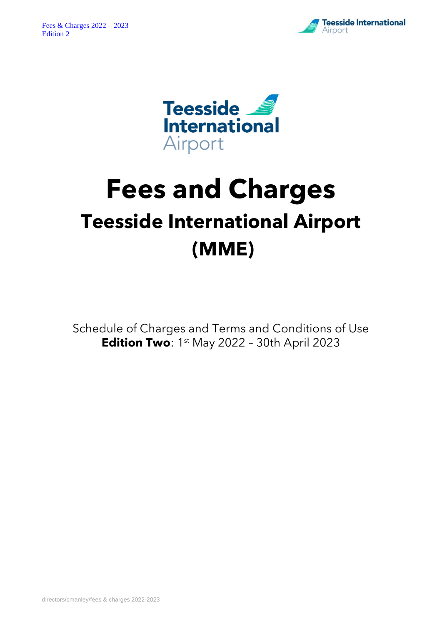



# **Fees and Charges Teesside International Airport (MME)**

Schedule of Charges and Terms and Conditions of Use **Edition Two**: 1<sup>st</sup> May 2022 - 30th April 2023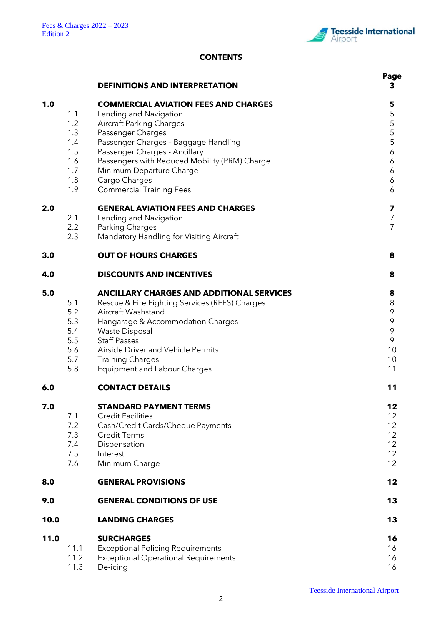

# **CONTENTS**

|      |                                                             | <b>DEFINITIONS AND INTERPRETATION</b>                                                                                                                                                                                                                                                                                                   | Page<br>3                                                                          |
|------|-------------------------------------------------------------|-----------------------------------------------------------------------------------------------------------------------------------------------------------------------------------------------------------------------------------------------------------------------------------------------------------------------------------------|------------------------------------------------------------------------------------|
| 1.0  | 1.1<br>1.2<br>1.3<br>1.4<br>1.5<br>1.6<br>1.7<br>1.8<br>1.9 | <b>COMMERCIAL AVIATION FEES AND CHARGES</b><br>Landing and Navigation<br><b>Aircraft Parking Charges</b><br>Passenger Charges<br>Passenger Charges - Baggage Handling<br>Passenger Charges - Ancillary<br>Passengers with Reduced Mobility (PRM) Charge<br>Minimum Departure Charge<br>Cargo Charges<br><b>Commercial Training Fees</b> | 5<br>5<br>5<br>5<br>5<br>5<br>$\boldsymbol{6}$<br>6<br>6<br>6<br>6                 |
| 2.0  | 2.1<br>2.2<br>2.3                                           | <b>GENERAL AVIATION FEES AND CHARGES</b><br>Landing and Navigation<br>Parking Charges<br>Mandatory Handling for Visiting Aircraft                                                                                                                                                                                                       | 7<br>$\overline{7}$<br>$\overline{7}$                                              |
| 3.0  |                                                             | <b>OUT OF HOURS CHARGES</b>                                                                                                                                                                                                                                                                                                             | 8                                                                                  |
| 4.0  |                                                             | <b>DISCOUNTS AND INCENTIVES</b>                                                                                                                                                                                                                                                                                                         | 8                                                                                  |
| 5.0  | 5.1<br>5.2<br>5.3<br>5.4<br>5.5<br>5.6<br>5.7<br>5.8        | ANCILLARY CHARGES AND ADDITIONAL SERVICES<br>Rescue & Fire Fighting Services (RFFS) Charges<br>Aircraft Washstand<br>Hangarage & Accommodation Charges<br><b>Waste Disposal</b><br><b>Staff Passes</b><br>Airside Driver and Vehicle Permits<br><b>Training Charges</b><br><b>Equipment and Labour Charges</b>                          | 8<br>$\,8\,$<br>$\mathcal{P}$<br>9<br>$\mathsf{\mathsf{S}}$<br>9<br>10<br>10<br>11 |
| 6.0  |                                                             | <b>CONTACT DETAILS</b>                                                                                                                                                                                                                                                                                                                  | 11                                                                                 |
| 7.0  | 7.1<br>7.2<br>7.3<br>7.4<br>7.5<br>7.6                      | <b>STANDARD PAYMENT TERMS</b><br><b>Credit Facilities</b><br>Cash/Credit Cards/Cheque Payments<br><b>Credit Terms</b><br>Dispensation<br>Interest<br>Minimum Charge                                                                                                                                                                     | 12<br>12 <sup>2</sup><br>12<br>12<br>12<br>12<br>12                                |
| 8.0  |                                                             | <b>GENERAL PROVISIONS</b>                                                                                                                                                                                                                                                                                                               | 12                                                                                 |
| 9.0  |                                                             | <b>GENERAL CONDITIONS OF USE</b>                                                                                                                                                                                                                                                                                                        | 13                                                                                 |
| 10.0 |                                                             | <b>LANDING CHARGES</b>                                                                                                                                                                                                                                                                                                                  | 13                                                                                 |
| 11.0 | 11.1<br>11.2<br>11.3                                        | <b>SURCHARGES</b><br><b>Exceptional Policing Requirements</b><br><b>Exceptional Operational Requirements</b><br>De-icing                                                                                                                                                                                                                | 16<br>16<br>16<br>16                                                               |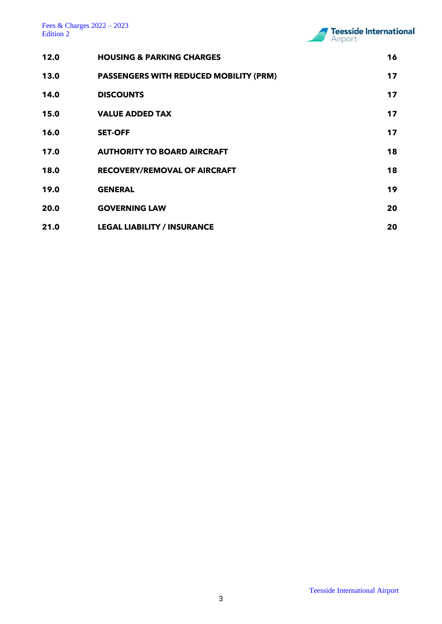

| 12.0 | <b>HOUSING &amp; PARKING CHARGES</b>          | 16 |
|------|-----------------------------------------------|----|
| 13.0 | <b>PASSENGERS WITH REDUCED MOBILITY (PRM)</b> | 17 |
| 14.0 | <b>DISCOUNTS</b>                              | 17 |
| 15.0 | <b>VALUE ADDED TAX</b>                        | 17 |
| 16.0 | <b>SET-OFF</b>                                | 17 |
| 17.0 | <b>AUTHORITY TO BOARD AIRCRAFT</b>            | 18 |
| 18.0 | <b>RECOVERY/REMOVAL OF AIRCRAFT</b>           | 18 |
| 19.0 | <b>GENERAL</b>                                | 19 |
| 20.0 | <b>GOVERNING LAW</b>                          | 20 |
| 21.0 | <b>LEGAL LIABILITY / INSURANCE</b>            | 20 |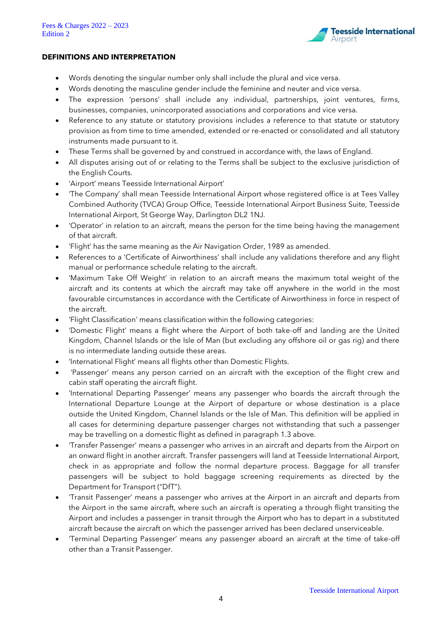

#### **DEFINITIONS AND INTERPRETATION**

- Words denoting the singular number only shall include the plural and vice versa.
- Words denoting the masculine gender include the feminine and neuter and vice versa.
- The expression 'persons' shall include any individual, partnerships, joint ventures, firms, businesses, companies, unincorporated associations and corporations and vice versa.
- Reference to any statute or statutory provisions includes a reference to that statute or statutory provision as from time to time amended, extended or re-enacted or consolidated and all statutory instruments made pursuant to it.
- These Terms shall be governed by and construed in accordance with, the laws of England.
- All disputes arising out of or relating to the Terms shall be subject to the exclusive jurisdiction of the English Courts.
- 'Airport' means Teesside International Airport'
- 'The Company' shall mean Teesside International Airport whose registered office is at Tees Valley Combined Authority (TVCA) Group Office, Teesside International Airport Business Suite, Teesside International Airport, St George Way, Darlington DL2 1NJ.
- 'Operator' in relation to an aircraft, means the person for the time being having the management of that aircraft.
- 'Flight' has the same meaning as the Air Navigation Order, 1989 as amended.
- References to a 'Certificate of Airworthiness' shall include any validations therefore and any flight manual or performance schedule relating to the aircraft.
- 'Maximum Take Off Weight' in relation to an aircraft means the maximum total weight of the aircraft and its contents at which the aircraft may take off anywhere in the world in the most favourable circumstances in accordance with the Certificate of Airworthiness in force in respect of the aircraft.
- 'Flight Classification' means classification within the following categories:
- 'Domestic Flight' means a flight where the Airport of both take-off and landing are the United Kingdom, Channel Islands or the Isle of Man (but excluding any offshore oil or gas rig) and there is no intermediate landing outside these areas.
- 'International Flight' means all flights other than Domestic Flights.
- 'Passenger' means any person carried on an aircraft with the exception of the flight crew and cabin staff operating the aircraft flight.
- 'International Departing Passenger' means any passenger who boards the aircraft through the International Departure Lounge at the Airport of departure or whose destination is a place outside the United Kingdom, Channel Islands or the Isle of Man. This definition will be applied in all cases for determining departure passenger charges not withstanding that such a passenger may be travelling on a domestic flight as defined in paragraph 1.3 above.
- 'Transfer Passenger' means a passenger who arrives in an aircraft and departs from the Airport on an onward flight in another aircraft. Transfer passengers will land at Teesside International Airport, check in as appropriate and follow the normal departure process. Baggage for all transfer passengers will be subject to hold baggage screening requirements as directed by the Department for Transport ("DfT").
- 'Transit Passenger' means a passenger who arrives at the Airport in an aircraft and departs from the Airport in the same aircraft, where such an aircraft is operating a through flight transiting the Airport and includes a passenger in transit through the Airport who has to depart in a substituted aircraft because the aircraft on which the passenger arrived has been declared unserviceable.
- 'Terminal Departing Passenger' means any passenger aboard an aircraft at the time of take-off other than a Transit Passenger.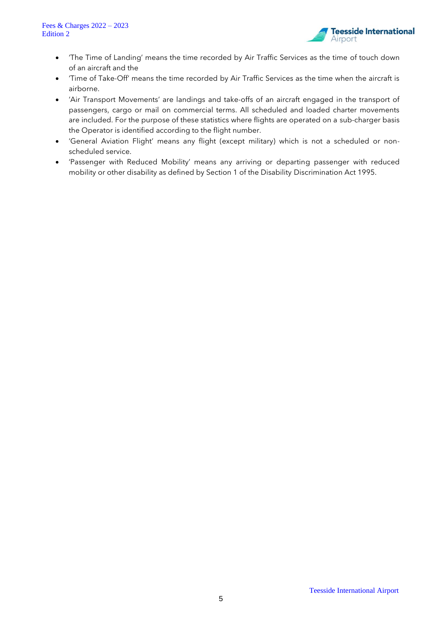

- 'The Time of Landing' means the time recorded by Air Traffic Services as the time of touch down of an aircraft and the
- 'Time of Take-Off' means the time recorded by Air Traffic Services as the time when the aircraft is airborne.
- 'Air Transport Movements' are landings and take-offs of an aircraft engaged in the transport of passengers, cargo or mail on commercial terms. All scheduled and loaded charter movements are included. For the purpose of these statistics where flights are operated on a sub-charger basis the Operator is identified according to the flight number.
- 'General Aviation Flight' means any flight (except military) which is not a scheduled or nonscheduled service.
- 'Passenger with Reduced Mobility' means any arriving or departing passenger with reduced mobility or other disability as defined by Section 1 of the Disability Discrimination Act 1995.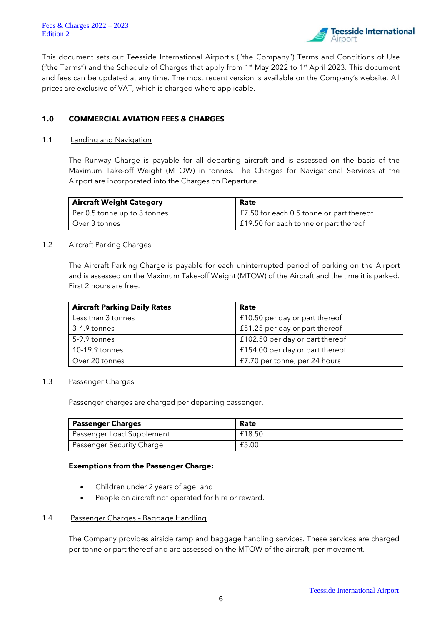Fees & Charges 2022 – 2023 Edition 2



This document sets out Teesside International Airport's ("the Company") Terms and Conditions of Use ("the Terms") and the Schedule of Charges that apply from 1<sup>st</sup> May 2022 to 1<sup>st</sup> April 2023. This document and fees can be updated at any time. The most recent version is available on the Company's website. All prices are exclusive of VAT, which is charged where applicable.

# **1.0 COMMERCIAL AVIATION FEES & CHARGES**

#### 1.1 **Landing and Navigation**

The Runway Charge is payable for all departing aircraft and is assessed on the basis of the Maximum Take-off Weight (MTOW) in tonnes. The Charges for Navigational Services at the Airport are incorporated into the Charges on Departure.

| <b>Aircraft Weight Category</b> | Rate                                     |
|---------------------------------|------------------------------------------|
| Per 0.5 tonne up to 3 tonnes    | £7.50 for each 0.5 tonne or part thereof |
| Over 3 tonnes                   | £19.50 for each tonne or part thereof    |

#### 1.2 Aircraft Parking Charges

The Aircraft Parking Charge is payable for each uninterrupted period of parking on the Airport and is assessed on the Maximum Take-off Weight (MTOW) of the Aircraft and the time it is parked. First 2 hours are free.

| <b>Aircraft Parking Daily Rates</b> | Rate                            |
|-------------------------------------|---------------------------------|
| Less than 3 tonnes                  | £10.50 per day or part thereof  |
| 3-4.9 tonnes                        | £51.25 per day or part thereof  |
| 5-9.9 tonnes                        | £102.50 per day or part thereof |
| 10-19.9 tonnes                      | £154.00 per day or part thereof |
| Over 20 tonnes                      | £7.70 per tonne, per 24 hours   |

#### 1.3 Passenger Charges

Passenger charges are charged per departing passenger.

| Passenger Charges         | Rate   |
|---------------------------|--------|
| Passenger Load Supplement | £18.50 |
| Passenger Security Charge | £5.00  |

#### **Exemptions from the Passenger Charge:**

- Children under 2 years of age; and
- People on aircraft not operated for hire or reward.

#### 1.4 Passenger Charges – Baggage Handling

The Company provides airside ramp and baggage handling services. These services are charged per tonne or part thereof and are assessed on the MTOW of the aircraft, per movement.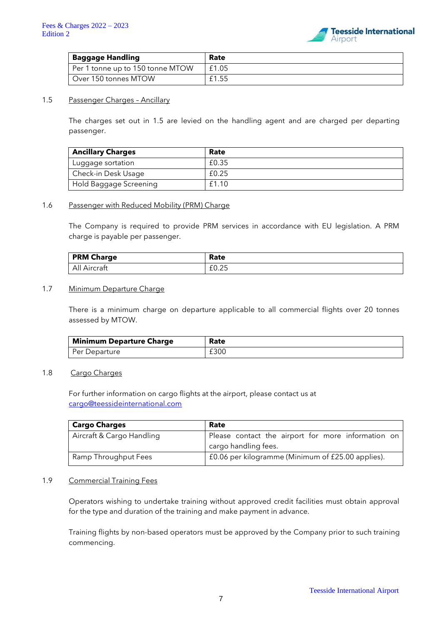

| <b>Baggage Handling</b>          | Rate  |
|----------------------------------|-------|
| Per 1 tonne up to 150 tonne MTOW | £1.05 |
| Over 150 tonnes MTOW             | £1.55 |

## 1.5 Passenger Charges - Ancillary

The charges set out in 1.5 are levied on the handling agent and are charged per departing passenger.

| <b>Ancillary Charges</b> | Rate  |
|--------------------------|-------|
| Luggage sortation        | £0.35 |
| Check-in Desk Usage      | £0.25 |
| Hold Baggage Screening   | £1.10 |

#### 1.6 Passenger with Reduced Mobility (PRM) Charge

The Company is required to provide PRM services in accordance with EU legislation. A PRM charge is payable per passenger.

| <b>PRM Charge</b> | Rate                             |
|-------------------|----------------------------------|
| All Aircraft      | $\sim$ $\sim$<br>$\sim$<br>LV.ZJ |

#### 1.7 Minimum Departure Charge

There is a minimum charge on departure applicable to all commercial flights over 20 tonnes assessed by MTOW.

| <b>Minimum Departure Charge</b> | Rate |
|---------------------------------|------|
| Per Departure                   | £300 |

# 1.8 Cargo Charges

For further information on cargo flights at the airport, please contact us at [cargo@teessideinternational.com](mailto:cargo@teessideinternational.com)

| <b>Cargo Charges</b>      | Rate                                               |
|---------------------------|----------------------------------------------------|
| Aircraft & Cargo Handling | Please contact the airport for more information on |
|                           | cargo handling fees.                               |
| Ramp Throughput Fees      | £0.06 per kilogramme (Minimum of £25.00 applies).  |

#### 1.9 Commercial Training Fees

Operators wishing to undertake training without approved credit facilities must obtain approval for the type and duration of the training and make payment in advance.

Training flights by non-based operators must be approved by the Company prior to such training commencing.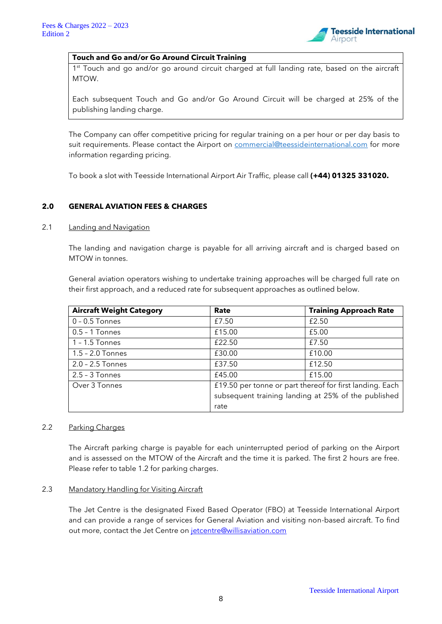

# **Touch and Go and/or Go Around Circuit Training**

1<sup>st</sup> Touch and go and/or go around circuit charged at full landing rate, based on the aircraft MTOW.

Each subsequent Touch and Go and/or Go Around Circuit will be charged at 25% of the publishing landing charge.

The Company can offer competitive pricing for regular training on a per hour or per day basis to suit requirements. Please contact the Airport on [commercial@teessideinternational.com](mailto:commercial@teessideinternational.com) for more information regarding pricing.

To book a slot with Teesside International Airport Air Traffic, please call **(+44) 01325 331020.**

# **2.0 GENERAL AVIATION FEES & CHARGES**

#### 2.1 Landing and Navigation

The landing and navigation charge is payable for all arriving aircraft and is charged based on MTOW in tonnes.

General aviation operators wishing to undertake training approaches will be charged full rate on their first approach, and a reduced rate for subsequent approaches as outlined below.

| <b>Aircraft Weight Category</b> | Rate                                                     | <b>Training Approach Rate</b>                       |
|---------------------------------|----------------------------------------------------------|-----------------------------------------------------|
| $0 - 0.5$ Tonnes                | £7.50                                                    | £2.50                                               |
| $0.5 - 1$ Tonnes                | £15.00                                                   | £5.00                                               |
| $1 - 1.5$ Tonnes                | £22.50                                                   | £7.50                                               |
| $1.5 - 2.0$ Tonnes              | £30.00                                                   | £10.00                                              |
| 2.0 - 2.5 Tonnes                | £37.50                                                   | £12.50                                              |
| $2.5 - 3$ Tonnes                | £45.00                                                   | £15.00                                              |
| Over 3 Tonnes                   | £19.50 per tonne or part thereof for first landing. Each |                                                     |
|                                 |                                                          | subsequent training landing at 25% of the published |
|                                 | rate                                                     |                                                     |

# 2.2 Parking Charges

The Aircraft parking charge is payable for each uninterrupted period of parking on the Airport and is assessed on the MTOW of the Aircraft and the time it is parked. The first 2 hours are free. Please refer to table 1.2 for parking charges.

#### 2.3 Mandatory Handling for Visiting Aircraft

The Jet Centre is the designated Fixed Based Operator (FBO) at Teesside International Airport and can provide a range of services for General Aviation and visiting non-based aircraft. To find out more, contact the Jet Centre on [jetcentre@willisaviation.com](mailto:jetcentre@willisaviation.com)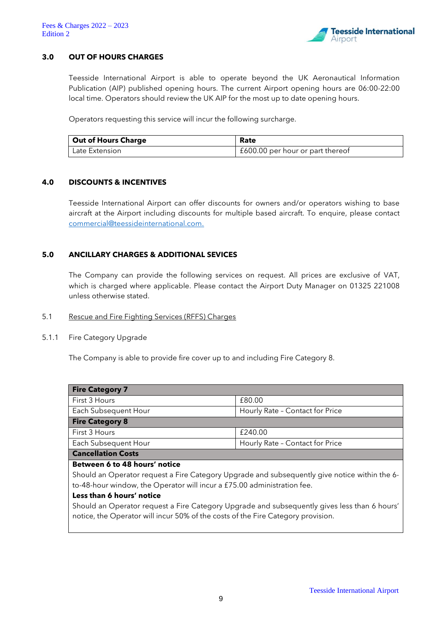

# **3.0 OUT OF HOURS CHARGES**

Teesside International Airport is able to operate beyond the UK Aeronautical Information Publication (AIP) published opening hours. The current Airport opening hours are 06:00-22:00 local time. Operators should review the UK AIP for the most up to date opening hours.

Operators requesting this service will incur the following surcharge.

| <b>Out of Hours Charge</b> | Rate                             |
|----------------------------|----------------------------------|
| Late Extension             | £600.00 per hour or part thereof |

# **4.0 DISCOUNTS & INCENTIVES**

Teesside International Airport can offer discounts for owners and/or operators wishing to base aircraft at the Airport including discounts for multiple based aircraft. To enquire, please contact [commercial@teessideinternational.com.](mailto:commercial@teessideinternational.com)

# **5.0 ANCILLARY CHARGES & ADDITIONAL SEVICES**

The Company can provide the following services on request. All prices are exclusive of VAT, which is charged where applicable. Please contact the Airport Duty Manager on 01325 221008 unless otherwise stated.

#### 5.1 Rescue and Fire Fighting Services (RFFS) Charges

#### 5.1.1 Fire Category Upgrade

The Company is able to provide fire cover up to and including Fire Category 8.

| <b>Fire Category 7</b> |                                 |  |
|------------------------|---------------------------------|--|
| First 3 Hours          | £80.00                          |  |
| Each Subsequent Hour   | Hourly Rate - Contact for Price |  |
| <b>Fire Category 8</b> |                                 |  |
| First 3 Hours          | £240.00                         |  |
| Each Subsequent Hour   | Hourly Rate - Contact for Price |  |
| Canaellation Costs     |                                 |  |

# **Cancellation Costs**

#### **Between 6 to 48 hours' notice**

Should an Operator request a Fire Category Upgrade and subsequently give notice within the 6 to-48-hour window, the Operator will incur a £75.00 administration fee.

#### **Less than 6 hours' notice**

Should an Operator request a Fire Category Upgrade and subsequently gives less than 6 hours' notice, the Operator will incur 50% of the costs of the Fire Category provision.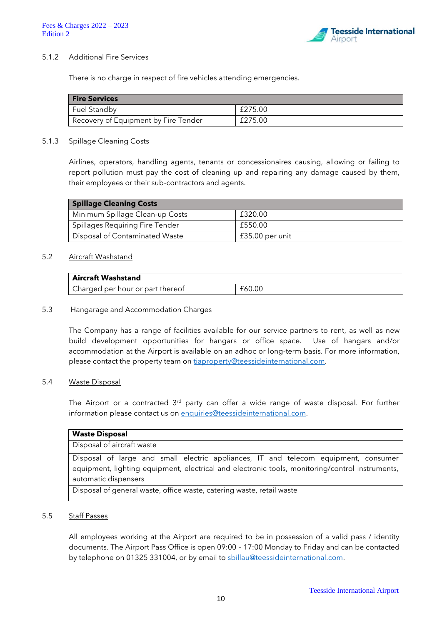

#### 5.1.2 Additional Fire Services

There is no charge in respect of fire vehicles attending emergencies.

| <b>Fire Services</b>                 |         |
|--------------------------------------|---------|
| <b>Fuel Standby</b>                  | £275.00 |
| Recovery of Equipment by Fire Tender | £275.00 |

#### 5.1.3 Spillage Cleaning Costs

Airlines, operators, handling agents, tenants or concessionaires causing, allowing or failing to report pollution must pay the cost of cleaning up and repairing any damage caused by them, their employees or their sub-contractors and agents.

| <b>Spillage Cleaning Costs</b>  |                 |  |
|---------------------------------|-----------------|--|
| Minimum Spillage Clean-up Costs | £320.00         |  |
| Spillages Requiring Fire Tender | £550.00         |  |
| Disposal of Contaminated Waste  | £35.00 per unit |  |

# 5.2 Aircraft Washstand

| <b>Aircraft Washstand</b>        |        |
|----------------------------------|--------|
| Charged per hour or part thereof | £60.00 |

#### 5.3 Hangarage and Accommodation Charges

The Company has a range of facilities available for our service partners to rent, as well as new build development opportunities for hangars or office space. Use of hangars and/or accommodation at the Airport is available on an adhoc or long-term basis. For more information, please contact the property team on [tiaproperty@teessideinternational.com.](mailto:tiaproperty@teessideinternational.com)

#### 5.4 Waste Disposal

The Airport or a contracted 3<sup>rd</sup> party can offer a wide range of waste disposal. For further information please contact us on [enquiries@teessideinternational.com.](mailto:enquiries@teessideinternational.com)

#### **Waste Disposal**

Disposal of aircraft waste

Disposal of large and small electric appliances, IT and telecom equipment, consumer equipment, lighting equipment, electrical and electronic tools, monitoring/control instruments, automatic dispensers

Disposal of general waste, office waste, catering waste, retail waste

#### 5.5 Staff Passes

All employees working at the Airport are required to be in possession of a valid pass / identity documents. The Airport Pass Office is open 09:00 – 17:00 Monday to Friday and can be contacted by telephone on 01325 331004, or by email to [sbillau@teessideinternational.com.](mailto:sbillau@teessideinternational.com)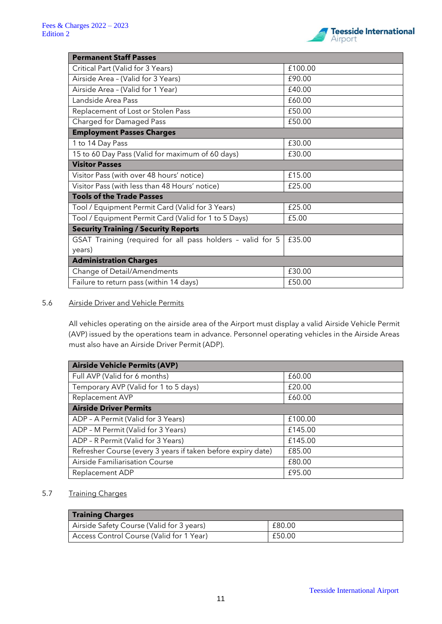

| <b>Permanent Staff Passes</b>                              |         |  |
|------------------------------------------------------------|---------|--|
| Critical Part (Valid for 3 Years)                          | £100.00 |  |
| Airside Area - (Valid for 3 Years)                         | £90.00  |  |
| Airside Area - (Valid for 1 Year)                          | £40.00  |  |
| Landside Area Pass                                         | £60.00  |  |
| Replacement of Lost or Stolen Pass                         | £50.00  |  |
| Charged for Damaged Pass                                   | £50.00  |  |
| <b>Employment Passes Charges</b>                           |         |  |
| 1 to 14 Day Pass                                           | £30.00  |  |
| 15 to 60 Day Pass (Valid for maximum of 60 days)           | £30.00  |  |
| <b>Visitor Passes</b>                                      |         |  |
| Visitor Pass (with over 48 hours' notice)                  | £15.00  |  |
| Visitor Pass (with less than 48 Hours' notice)             | £25.00  |  |
| <b>Tools of the Trade Passes</b>                           |         |  |
| Tool / Equipment Permit Card (Valid for 3 Years)           | £25.00  |  |
| Tool / Equipment Permit Card (Valid for 1 to 5 Days)       | £5.00   |  |
| <b>Security Training / Security Reports</b>                |         |  |
| GSAT Training (required for all pass holders - valid for 5 | £35.00  |  |
| years)                                                     |         |  |
| <b>Administration Charges</b>                              |         |  |
| Change of Detail/Amendments                                | £30.00  |  |
| Failure to return pass (within 14 days)                    | £50.00  |  |

# 5.6 Airside Driver and Vehicle Permits

All vehicles operating on the airside area of the Airport must display a valid Airside Vehicle Permit (AVP) issued by the operations team in advance. Personnel operating vehicles in the Airside Areas must also have an Airside Driver Permit (ADP).

| <b>Airside Vehicle Permits (AVP)</b>                         |         |  |
|--------------------------------------------------------------|---------|--|
| Full AVP (Valid for 6 months)                                | £60.00  |  |
| Temporary AVP (Valid for 1 to 5 days)                        | £20.00  |  |
| <b>Replacement AVP</b>                                       | £60.00  |  |
| <b>Airside Driver Permits</b>                                |         |  |
| ADP - A Permit (Valid for 3 Years)                           | £100.00 |  |
| ADP - M Permit (Valid for 3 Years)                           | £145.00 |  |
| ADP - R Permit (Valid for 3 Years)                           | £145.00 |  |
| Refresher Course (every 3 years if taken before expiry date) | £85.00  |  |
| Airside Familiarisation Course                               | £80.00  |  |
| <b>Replacement ADP</b>                                       | £95.00  |  |

# 5.7 Training Charges

| <b>Training Charges</b>                   |        |
|-------------------------------------------|--------|
| Airside Safety Course (Valid for 3 years) | £80.00 |
| Access Control Course (Valid for 1 Year)  | £50.00 |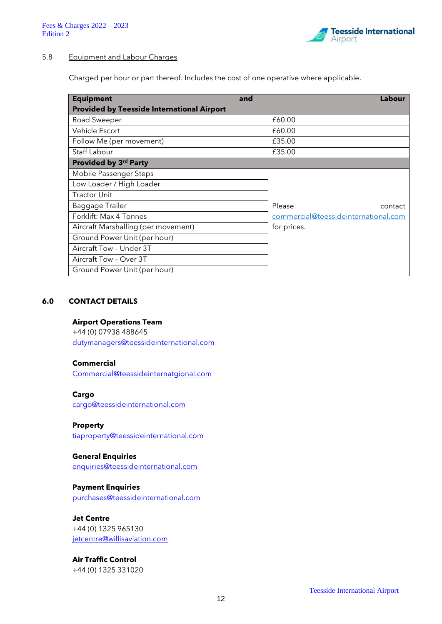

# 5.8 Equipment and Labour Charges

Charged per hour or part thereof. Includes the cost of one operative where applicable.

| <b>Equipment</b>                                  | and | Labour                               |
|---------------------------------------------------|-----|--------------------------------------|
| <b>Provided by Teesside International Airport</b> |     |                                      |
| Road Sweeper                                      |     | £60.00                               |
| Vehicle Escort                                    |     | £60.00                               |
| Follow Me (per movement)                          |     | £35.00                               |
| Staff Labour                                      |     | £35.00                               |
| Provided by 3rd Party                             |     |                                      |
| Mobile Passenger Steps                            |     |                                      |
| Low Loader / High Loader                          |     |                                      |
| <b>Tractor Unit</b>                               |     |                                      |
| Baggage Trailer                                   |     | Please<br>contact                    |
| Forklift: Max 4 Tonnes                            |     | commercial@teessideinternational.com |
| Aircraft Marshalling (per movement)               |     | for prices.                          |
| Ground Power Unit (per hour)                      |     |                                      |
| Aircraft Tow - Under 3T                           |     |                                      |
| Aircraft Tow - Over 3T                            |     |                                      |
| Ground Power Unit (per hour)                      |     |                                      |

#### **6.0 CONTACT DETAILS**

## **Airport Operations Team**

+44 (0) 07938 488645 [dutymanagers@teessideinternational.com](mailto:dutymanagers@teessideinternational.com)

# **Commercial**

[Commercial@teessideinternatgional.com](mailto:Commercial@teessideinternatgional.com)

#### **Cargo**

[cargo@teessideinternational.com](mailto:cargo@teessideinternational.com)

# **Property**

[tiaproperty@teessideinternational.com](mailto:tiaproperty@teessideinternational.com)

#### **General Enquiries**

[enquiries@teessideinternational.com](mailto:enquiries@teessideinternational.com)

# **Payment Enquiries**

[purchases@teessideinternational.com](mailto:purchases@teessideinternational.com)

# **Jet Centre**

+44 (0) 1325 965130 [jetcentre@willisaviation.com](mailto:jetcentre@willisaviation.com)

# **Air Traffic Control**

+44 (0) 1325 331020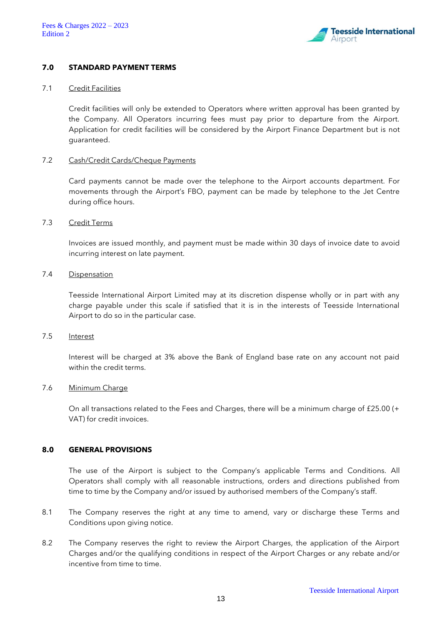

## **7.0 STANDARD PAYMENT TERMS**

#### 7.1 Credit Facilities

Credit facilities will only be extended to Operators where written approval has been granted by the Company. All Operators incurring fees must pay prior to departure from the Airport. Application for credit facilities will be considered by the Airport Finance Department but is not guaranteed.

#### 7.2 Cash/Credit Cards/Cheque Payments

Card payments cannot be made over the telephone to the Airport accounts department. For movements through the Airport's FBO, payment can be made by telephone to the Jet Centre during office hours.

## 7.3 Credit Terms

Invoices are issued monthly, and payment must be made within 30 days of invoice date to avoid incurring interest on late payment.

#### 7.4 Dispensation

Teesside International Airport Limited may at its discretion dispense wholly or in part with any charge payable under this scale if satisfied that it is in the interests of Teesside International Airport to do so in the particular case.

#### 7.5 Interest

Interest will be charged at 3% above the Bank of England base rate on any account not paid within the credit terms.

## 7.6 Minimum Charge

On all transactions related to the Fees and Charges, there will be a minimum charge of £25.00 (+ VAT) for credit invoices.

# **8.0 GENERAL PROVISIONS**

The use of the Airport is subject to the Company's applicable Terms and Conditions. All Operators shall comply with all reasonable instructions, orders and directions published from time to time by the Company and/or issued by authorised members of the Company's staff.

- 8.1 The Company reserves the right at any time to amend, vary or discharge these Terms and Conditions upon giving notice.
- 8.2 The Company reserves the right to review the Airport Charges, the application of the Airport Charges and/or the qualifying conditions in respect of the Airport Charges or any rebate and/or incentive from time to time.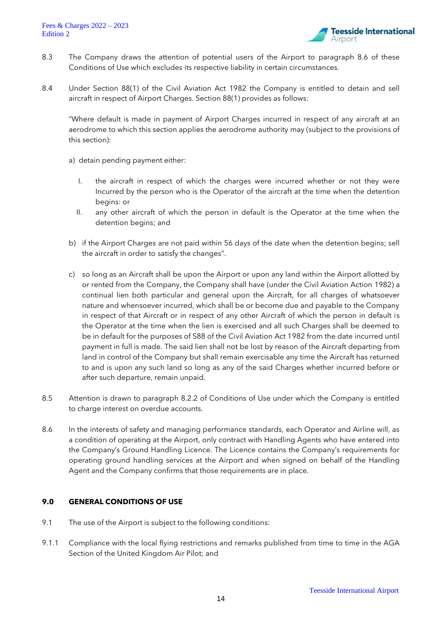

- 8.3 The Company draws the attention of potential users of the Airport to paragraph 8.6 of these Conditions of Use which excludes its respective liability in certain circumstances.
- 8.4 Under Section 88(1) of the Civil Aviation Act 1982 the Company is entitled to detain and sell aircraft in respect of Airport Charges. Section 88(1) provides as follows:

"Where default is made in payment of Airport Charges incurred in respect of any aircraft at an aerodrome to which this section applies the aerodrome authority may (subject to the provisions of this section):

a) detain pending payment either:

- I. the aircraft in respect of which the charges were incurred whether or not they were Incurred by the person who is the Operator of the aircraft at the time when the detention begins: or
- II. any other aircraft of which the person in default is the Operator at the time when the detention begins; and
- b) if the Airport Charges are not paid within 56 days of the date when the detention begins; sell the aircraft in order to satisfy the changes".
- c) so long as an Aircraft shall be upon the Airport or upon any land within the Airport allotted by or rented from the Company, the Company shall have (under the Civil Aviation Action 1982) a continual lien both particular and general upon the Aircraft, for all charges of whatsoever nature and whensoever incurred, which shall be or become due and payable to the Company in respect of that Aircraft or in respect of any other Aircraft of which the person in default is the Operator at the time when the lien is exercised and all such Charges shall be deemed to be in default for the purposes of S88 of the Civil Aviation Act 1982 from the date incurred until payment in full is made. The said lien shall not be lost by reason of the Aircraft departing from land in control of the Company but shall remain exercisable any time the Aircraft has returned to and is upon any such land so long as any of the said Charges whether incurred before or after such departure, remain unpaid.
- 8.5 Attention is drawn to paragraph 8.2.2 of Conditions of Use under which the Company is entitled to charge interest on overdue accounts.
- 8.6 In the interests of safety and managing performance standards, each Operator and Airline will, as a condition of operating at the Airport, only contract with Handling Agents who have entered into the Company's Ground Handling Licence. The Licence contains the Company's requirements for operating ground handling services at the Airport and when signed on behalf of the Handling Agent and the Company confirms that those requirements are in place.

# **9.0 GENERAL CONDITIONS OF USE**

- 9.1 The use of the Airport is subject to the following conditions:
- 9.1.1 Compliance with the local flying restrictions and remarks published from time to time in the AGA Section of the United Kingdom Air Pilot; and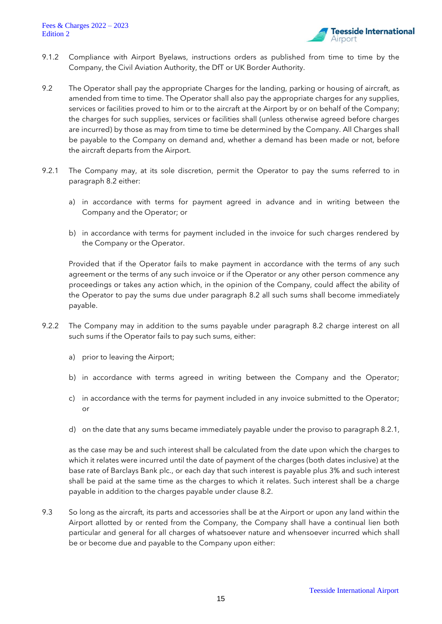

- 9.1.2 Compliance with Airport Byelaws, instructions orders as published from time to time by the Company, the Civil Aviation Authority, the DfT or UK Border Authority.
- 9.2 The Operator shall pay the appropriate Charges for the landing, parking or housing of aircraft, as amended from time to time. The Operator shall also pay the appropriate charges for any supplies, services or facilities proved to him or to the aircraft at the Airport by or on behalf of the Company; the charges for such supplies, services or facilities shall (unless otherwise agreed before charges are incurred) by those as may from time to time be determined by the Company. All Charges shall be payable to the Company on demand and, whether a demand has been made or not, before the aircraft departs from the Airport.
- 9.2.1 The Company may, at its sole discretion, permit the Operator to pay the sums referred to in paragraph 8.2 either:
	- a) in accordance with terms for payment agreed in advance and in writing between the Company and the Operator; or
	- b) in accordance with terms for payment included in the invoice for such charges rendered by the Company or the Operator.

Provided that if the Operator fails to make payment in accordance with the terms of any such agreement or the terms of any such invoice or if the Operator or any other person commence any proceedings or takes any action which, in the opinion of the Company, could affect the ability of the Operator to pay the sums due under paragraph 8.2 all such sums shall become immediately payable.

- 9.2.2 The Company may in addition to the sums payable under paragraph 8.2 charge interest on all such sums if the Operator fails to pay such sums, either:
	- a) prior to leaving the Airport;
	- b) in accordance with terms agreed in writing between the Company and the Operator;
	- c) in accordance with the terms for payment included in any invoice submitted to the Operator; or
	- d) on the date that any sums became immediately payable under the proviso to paragraph 8.2.1,

as the case may be and such interest shall be calculated from the date upon which the charges to which it relates were incurred until the date of payment of the charges (both dates inclusive) at the base rate of Barclays Bank plc., or each day that such interest is payable plus 3% and such interest shall be paid at the same time as the charges to which it relates. Such interest shall be a charge payable in addition to the charges payable under clause 8.2.

9.3 So long as the aircraft, its parts and accessories shall be at the Airport or upon any land within the Airport allotted by or rented from the Company, the Company shall have a continual lien both particular and general for all charges of whatsoever nature and whensoever incurred which shall be or become due and payable to the Company upon either: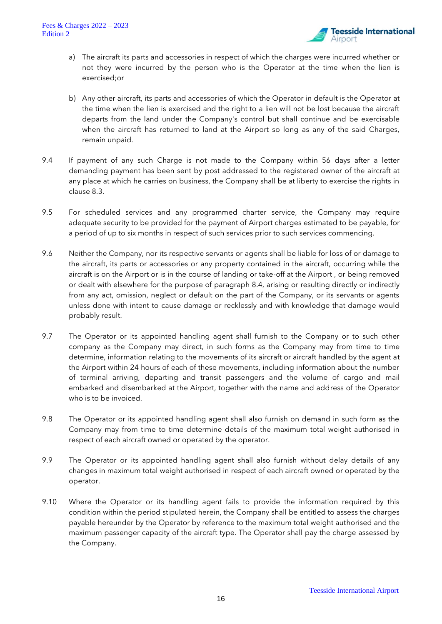

- a) The aircraft its parts and accessories in respect of which the charges were incurred whether or not they were incurred by the person who is the Operator at the time when the lien is exercised;or
- b) Any other aircraft, its parts and accessories of which the Operator in default is the Operator at the time when the lien is exercised and the right to a lien will not be lost because the aircraft departs from the land under the Company's control but shall continue and be exercisable when the aircraft has returned to land at the Airport so long as any of the said Charges, remain unpaid.
- 9.4 If payment of any such Charge is not made to the Company within 56 days after a letter demanding payment has been sent by post addressed to the registered owner of the aircraft at any place at which he carries on business, the Company shall be at liberty to exercise the rights in clause 8.3.
- 9.5 For scheduled services and any programmed charter service, the Company may require adequate security to be provided for the payment of Airport charges estimated to be payable, for a period of up to six months in respect of such services prior to such services commencing.
- 9.6 Neither the Company, nor its respective servants or agents shall be liable for loss of or damage to the aircraft, its parts or accessories or any property contained in the aircraft, occurring while the aircraft is on the Airport or is in the course of landing or take-off at the Airport , or being removed or dealt with elsewhere for the purpose of paragraph 8.4, arising or resulting directly or indirectly from any act, omission, neglect or default on the part of the Company, or its servants or agents unless done with intent to cause damage or recklessly and with knowledge that damage would probably result.
- 9.7 The Operator or its appointed handling agent shall furnish to the Company or to such other company as the Company may direct, in such forms as the Company may from time to time determine, information relating to the movements of its aircraft or aircraft handled by the agent at the Airport within 24 hours of each of these movements, including information about the number of terminal arriving, departing and transit passengers and the volume of cargo and mail embarked and disembarked at the Airport, together with the name and address of the Operator who is to be invoiced.
- 9.8 The Operator or its appointed handling agent shall also furnish on demand in such form as the Company may from time to time determine details of the maximum total weight authorised in respect of each aircraft owned or operated by the operator.
- 9.9 The Operator or its appointed handling agent shall also furnish without delay details of any changes in maximum total weight authorised in respect of each aircraft owned or operated by the operator.
- 9.10 Where the Operator or its handling agent fails to provide the information required by this condition within the period stipulated herein, the Company shall be entitled to assess the charges payable hereunder by the Operator by reference to the maximum total weight authorised and the maximum passenger capacity of the aircraft type. The Operator shall pay the charge assessed by the Company.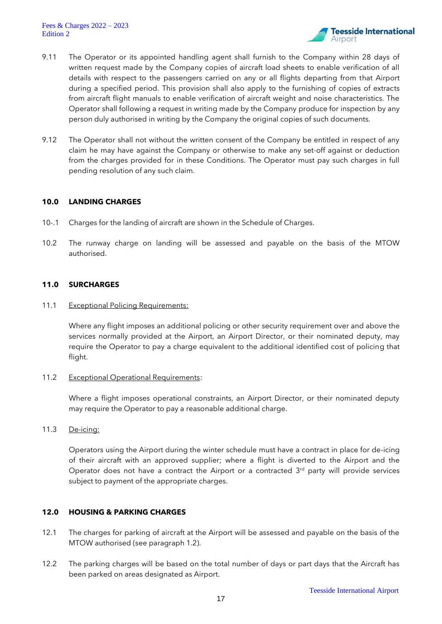

- 9.11 The Operator or its appointed handling agent shall furnish to the Company within 28 days of written request made by the Company copies of aircraft load sheets to enable verification of all details with respect to the passengers carried on any or all flights departing from that Airport during a specified period. This provision shall also apply to the furnishing of copies of extracts from aircraft flight manuals to enable verification of aircraft weight and noise characteristics. The Operator shall following a request in writing made by the Company produce for inspection by any person duly authorised in writing by the Company the original copies of such documents.
- 9.12 The Operator shall not without the written consent of the Company be entitled in respect of any claim he may have against the Company or otherwise to make any set-off against or deduction from the charges provided for in these Conditions. The Operator must pay such charges in full pending resolution of any such claim.

# **10.0 LANDING CHARGES**

- 10-.1 Charges for the landing of aircraft are shown in the Schedule of Charges.
- 10.2 The runway charge on landing will be assessed and payable on the basis of the MTOW authorised.

# **11.0 SURCHARGES**

11.1 Exceptional Policing Requirements:

Where any flight imposes an additional policing or other security requirement over and above the services normally provided at the Airport, an Airport Director, or their nominated deputy, may require the Operator to pay a charge equivalent to the additional identified cost of policing that flight.

11.2 Exceptional Operational Requirements:

Where a flight imposes operational constraints, an Airport Director, or their nominated deputy may require the Operator to pay a reasonable additional charge.

11.3 De-icing:

Operators using the Airport during the winter schedule must have a contract in place for de-icing of their aircraft with an approved supplier; where a flight is diverted to the Airport and the Operator does not have a contract the Airport or a contracted  $3<sup>rd</sup>$  party will provide services subject to payment of the appropriate charges.

# **12.0 HOUSING & PARKING CHARGES**

- 12.1 The charges for parking of aircraft at the Airport will be assessed and payable on the basis of the MTOW authorised (see paragraph 1.2).
- 12.2 The parking charges will be based on the total number of days or part days that the Aircraft has been parked on areas designated as Airport.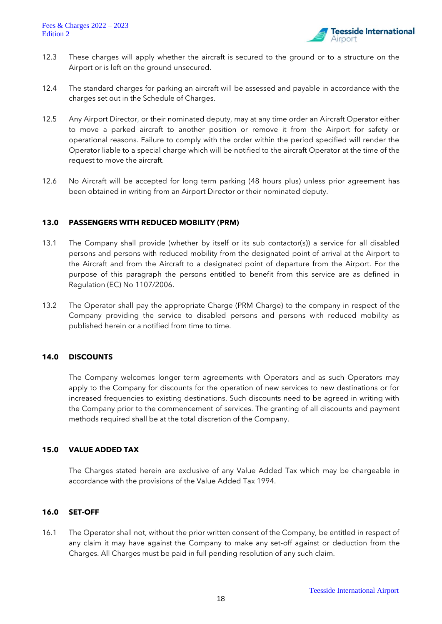

- 12.3 These charges will apply whether the aircraft is secured to the ground or to a structure on the Airport or is left on the ground unsecured.
- 12.4 The standard charges for parking an aircraft will be assessed and payable in accordance with the charges set out in the Schedule of Charges.
- 12.5 Any Airport Director, or their nominated deputy, may at any time order an Aircraft Operator either to move a parked aircraft to another position or remove it from the Airport for safety or operational reasons. Failure to comply with the order within the period specified will render the Operator liable to a special charge which will be notified to the aircraft Operator at the time of the request to move the aircraft.
- 12.6 No Aircraft will be accepted for long term parking (48 hours plus) unless prior agreement has been obtained in writing from an Airport Director or their nominated deputy.

# **13.0 PASSENGERS WITH REDUCED MOBILITY (PRM)**

- 13.1 The Company shall provide (whether by itself or its sub contactor(s)) a service for all disabled persons and persons with reduced mobility from the designated point of arrival at the Airport to the Aircraft and from the Aircraft to a designated point of departure from the Airport. For the purpose of this paragraph the persons entitled to benefit from this service are as defined in Regulation (EC) No 1107/2006.
- 13.2 The Operator shall pay the appropriate Charge (PRM Charge) to the company in respect of the Company providing the service to disabled persons and persons with reduced mobility as published herein or a notified from time to time.

# **14.0 DISCOUNTS**

The Company welcomes longer term agreements with Operators and as such Operators may apply to the Company for discounts for the operation of new services to new destinations or for increased frequencies to existing destinations. Such discounts need to be agreed in writing with the Company prior to the commencement of services. The granting of all discounts and payment methods required shall be at the total discretion of the Company.

# **15.0 VALUE ADDED TAX**

The Charges stated herein are exclusive of any Value Added Tax which may be chargeable in accordance with the provisions of the Value Added Tax 1994.

# **16.0 SET-OFF**

16.1 The Operator shall not, without the prior written consent of the Company, be entitled in respect of any claim it may have against the Company to make any set-off against or deduction from the Charges. All Charges must be paid in full pending resolution of any such claim.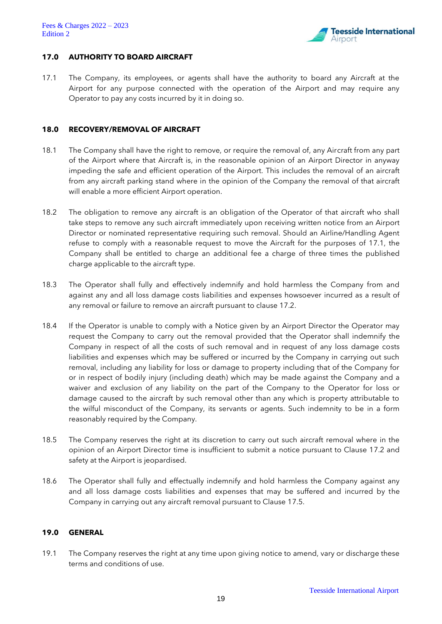

#### **17.0 AUTHORITY TO BOARD AIRCRAFT**

17.1 The Company, its employees, or agents shall have the authority to board any Aircraft at the Airport for any purpose connected with the operation of the Airport and may require any Operator to pay any costs incurred by it in doing so.

# **18.0 RECOVERY/REMOVAL OF AIRCRAFT**

- 18.1 The Company shall have the right to remove, or require the removal of, any Aircraft from any part of the Airport where that Aircraft is, in the reasonable opinion of an Airport Director in anyway impeding the safe and efficient operation of the Airport. This includes the removal of an aircraft from any aircraft parking stand where in the opinion of the Company the removal of that aircraft will enable a more efficient Airport operation.
- 18.2 The obligation to remove any aircraft is an obligation of the Operator of that aircraft who shall take steps to remove any such aircraft immediately upon receiving written notice from an Airport Director or nominated representative requiring such removal. Should an Airline/Handling Agent refuse to comply with a reasonable request to move the Aircraft for the purposes of 17.1, the Company shall be entitled to charge an additional fee a charge of three times the published charge applicable to the aircraft type.
- 18.3 The Operator shall fully and effectively indemnify and hold harmless the Company from and against any and all loss damage costs liabilities and expenses howsoever incurred as a result of any removal or failure to remove an aircraft pursuant to clause 17.2.
- 18.4 If the Operator is unable to comply with a Notice given by an Airport Director the Operator may request the Company to carry out the removal provided that the Operator shall indemnify the Company in respect of all the costs of such removal and in request of any loss damage costs liabilities and expenses which may be suffered or incurred by the Company in carrying out such removal, including any liability for loss or damage to property including that of the Company for or in respect of bodily injury (including death) which may be made against the Company and a waiver and exclusion of any liability on the part of the Company to the Operator for loss or damage caused to the aircraft by such removal other than any which is property attributable to the wilful misconduct of the Company, its servants or agents. Such indemnity to be in a form reasonably required by the Company.
- 18.5 The Company reserves the right at its discretion to carry out such aircraft removal where in the opinion of an Airport Director time is insufficient to submit a notice pursuant to Clause 17.2 and safety at the Airport is jeopardised.
- 18.6 The Operator shall fully and effectually indemnify and hold harmless the Company against any and all loss damage costs liabilities and expenses that may be suffered and incurred by the Company in carrying out any aircraft removal pursuant to Clause 17.5.

#### **19.0 GENERAL**

19.1 The Company reserves the right at any time upon giving notice to amend, vary or discharge these terms and conditions of use.